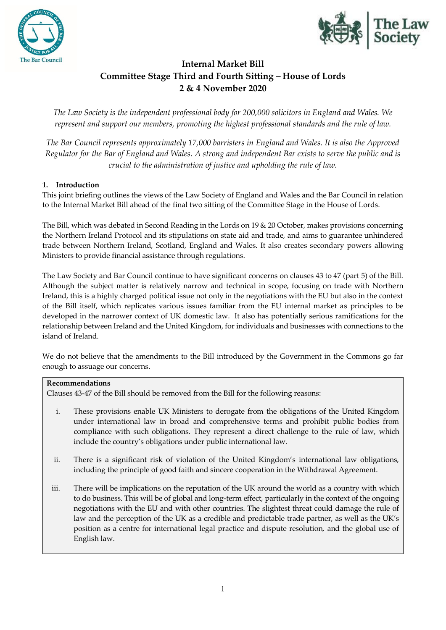



# **Internal Market Bill Committee Stage Third and Fourth Sitting – House of Lords 2 & 4 November 2020**

*The Law Society is the independent professional body for 200,000 solicitors in England and Wales. We represent and support our members, promoting the highest professional standards and the rule of law.*

*The Bar Council represents approximately 17,000 barristers in England and Wales. It is also the Approved Regulator for the Bar of England and Wales. A strong and independent Bar exists to serve the public and is crucial to the administration of justice and upholding the rule of law.*

## **1. Introduction**

This joint briefing outlines the views of the Law Society of England and Wales and the Bar Council in relation to the Internal Market Bill ahead of the final two sitting of the Committee Stage in the House of Lords.

The Bill, which was debated in Second Reading in the Lords on 19 & 20 October, makes provisions concerning the Northern Ireland Protocol and its stipulations on state aid and trade, and aims to guarantee unhindered trade between Northern Ireland, Scotland, England and Wales. It also creates secondary powers allowing Ministers to provide financial assistance through regulations.

The Law Society and Bar Council continue to have significant concerns on clauses 43 to 47 (part 5) of the Bill. Although the subject matter is relatively narrow and technical in scope, focusing on trade with Northern Ireland, this is a highly charged political issue not only in the negotiations with the EU but also in the context of the Bill itself, which replicates various issues familiar from the EU internal market as principles to be developed in the narrower context of UK domestic law. It also has potentially serious ramifications for the relationship between Ireland and the United Kingdom, for individuals and businesses with connections to the island of Ireland.

We do not believe that the amendments to the Bill introduced by the Government in the Commons go far enough to assuage our concerns.

## **Recommendations**

Clauses 43-47 of the Bill should be removed from the Bill for the following reasons:

- i. These provisions enable UK Ministers to derogate from the obligations of the United Kingdom under international law in broad and comprehensive terms and prohibit public bodies from compliance with such obligations. They represent a direct challenge to the rule of law, which include the country's obligations under public international law.
- ii. There is a significant risk of violation of the United Kingdom's international law obligations, including the principle of good faith and sincere cooperation in the Withdrawal Agreement.
- iii. There will be implications on the reputation of the UK around the world as a country with which to do business. This will be of global and long-term effect, particularly in the context of the ongoing negotiations with the EU and with other countries. The slightest threat could damage the rule of law and the perception of the UK as a credible and predictable trade partner, as well as the UK's position as a centre for international legal practice and dispute resolution, and the global use of English law.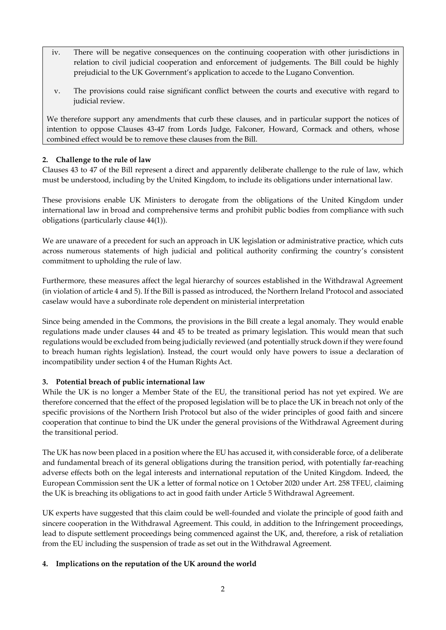- iv. There will be negative consequences on the continuing cooperation with other jurisdictions in relation to civil judicial cooperation and enforcement of judgements. The Bill could be highly prejudicial to the UK Government's application to accede to the Lugano Convention.
- v. The provisions could raise significant conflict between the courts and executive with regard to judicial review.

We therefore support any amendments that curb these clauses, and in particular support the notices of intention to oppose Clauses 43-47 from Lords Judge, Falconer, Howard, Cormack and others, whose combined effect would be to remove these clauses from the Bill.

## **2. Challenge to the rule of law**

Clauses 43 to 47 of the Bill represent a direct and apparently deliberate challenge to the rule of law, which must be understood, including by the United Kingdom, to include its obligations under international law.

These provisions enable UK Ministers to derogate from the obligations of the United Kingdom under international law in broad and comprehensive terms and prohibit public bodies from compliance with such obligations (particularly clause 44(1)).

We are unaware of a precedent for such an approach in UK legislation or administrative practice, which cuts across numerous statements of high judicial and political authority confirming the country's consistent commitment to upholding the rule of law.

Furthermore, these measures affect the legal hierarchy of sources established in the Withdrawal Agreement (in violation of article 4 and 5). If the Bill is passed as introduced, the Northern Ireland Protocol and associated caselaw would have a subordinate role dependent on ministerial interpretation

Since being amended in the Commons, the provisions in the Bill create a legal anomaly. They would enable regulations made under clauses 44 and 45 to be treated as primary legislation. This would mean that such regulations would be excluded from being judicially reviewed (and potentially struck down if they were found to breach human rights legislation). Instead, the court would only have powers to issue a declaration of incompatibility under section 4 of the Human Rights Act.

## **3. Potential breach of public international law**

While the UK is no longer a Member State of the EU, the transitional period has not yet expired. We are therefore concerned that the effect of the proposed legislation will be to place the UK in breach not only of the specific provisions of the Northern Irish Protocol but also of the wider principles of good faith and sincere cooperation that continue to bind the UK under the general provisions of the Withdrawal Agreement during the transitional period.

The UK has now been placed in a position where the EU has accused it, with considerable force, of a deliberate and fundamental breach of its general obligations during the transition period, with potentially far-reaching adverse effects both on the legal interests and international reputation of the United Kingdom. Indeed, the European Commission sent the UK a letter of formal notice on 1 October 2020 under Art. 258 TFEU, claiming the UK is breaching its obligations to act in good faith under Article 5 Withdrawal Agreement.

UK experts have suggested that this claim could be well-founded and violate the principle of good faith and sincere cooperation in the Withdrawal Agreement. This could, in addition to the Infringement proceedings, lead to dispute settlement proceedings being commenced against the UK, and, therefore, a risk of retaliation from the EU including the suspension of trade as set out in the Withdrawal Agreement.

## **4. Implications on the reputation of the UK around the world**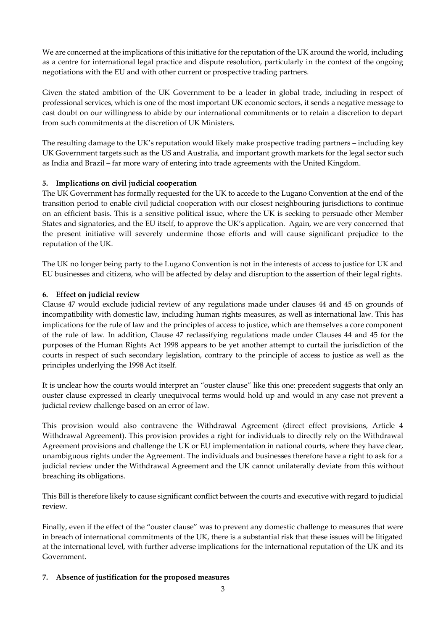We are concerned at the implications of this initiative for the reputation of the UK around the world, including as a centre for international legal practice and dispute resolution, particularly in the context of the ongoing negotiations with the EU and with other current or prospective trading partners.

Given the stated ambition of the UK Government to be a leader in global trade, including in respect of professional services, which is one of the most important UK economic sectors, it sends a negative message to cast doubt on our willingness to abide by our international commitments or to retain a discretion to depart from such commitments at the discretion of UK Ministers.

The resulting damage to the UK's reputation would likely make prospective trading partners – including key UK Government targets such as the US and Australia, and important growth markets for the legal sector such as India and Brazil – far more wary of entering into trade agreements with the United Kingdom.

## **5. Implications on civil judicial cooperation**

The UK Government has formally requested for the UK to accede to the Lugano Convention at the end of the transition period to enable civil judicial cooperation with our closest neighbouring jurisdictions to continue on an efficient basis. This is a sensitive political issue, where the UK is seeking to persuade other Member States and signatories, and the EU itself, to approve the UK's application. Again, we are very concerned that the present initiative will severely undermine those efforts and will cause significant prejudice to the reputation of the UK.

The UK no longer being party to the Lugano Convention is not in the interests of access to justice for UK and EU businesses and citizens, who will be affected by delay and disruption to the assertion of their legal rights.

## **6. Effect on judicial review**

Clause 47 would exclude judicial review of any regulations made under clauses 44 and 45 on grounds of incompatibility with domestic law, including human rights measures, as well as international law. This has implications for the rule of law and the principles of access to justice, which are themselves a core component of the rule of law. In addition, Clause 47 reclassifying regulations made under Clauses 44 and 45 for the purposes of the Human Rights Act 1998 appears to be yet another attempt to curtail the jurisdiction of the courts in respect of such secondary legislation, contrary to the principle of access to justice as well as the principles underlying the 1998 Act itself.

It is unclear how the courts would interpret an "ouster clause" like this one: precedent suggests that only an ouster clause expressed in clearly unequivocal terms would hold up and would in any case not prevent a judicial review challenge based on an error of law.

This provision would also contravene the Withdrawal Agreement (direct effect provisions, Article 4 Withdrawal Agreement). This provision provides a right for individuals to directly rely on the Withdrawal Agreement provisions and challenge the UK or EU implementation in national courts, where they have clear, unambiguous rights under the Agreement. The individuals and businesses therefore have a right to ask for a judicial review under the Withdrawal Agreement and the UK cannot unilaterally deviate from this without breaching its obligations.

This Bill is therefore likely to cause significant conflict between the courts and executive with regard to judicial review.

Finally, even if the effect of the "ouster clause" was to prevent any domestic challenge to measures that were in breach of international commitments of the UK, there is a substantial risk that these issues will be litigated at the international level, with further adverse implications for the international reputation of the UK and its Government.

## **7. Absence of justification for the proposed measures**